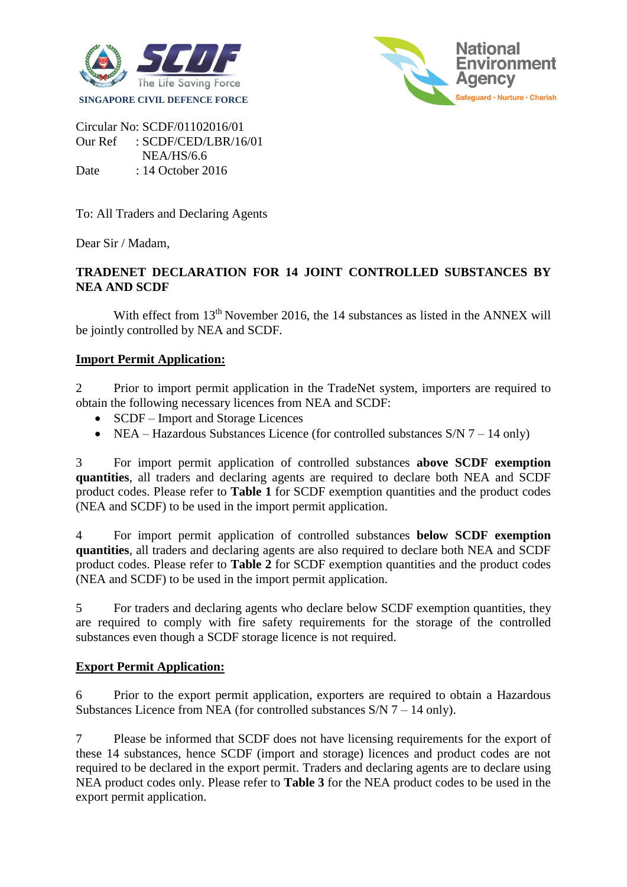



Circular No: SCDF/01102016/01 Our Ref : SCDF/CED/LBR/16/01 NEA/HS/6.6 Date : 14 October 2016

To: All Traders and Declaring Agents

Dear Sir / Madam,

# **TRADENET DECLARATION FOR 14 JOINT CONTROLLED SUBSTANCES BY NEA AND SCDF**

With effect from  $13<sup>th</sup>$  November 2016, the 14 substances as listed in the ANNEX will be jointly controlled by NEA and SCDF.

# **Import Permit Application:**

2 Prior to import permit application in the TradeNet system, importers are required to obtain the following necessary licences from NEA and SCDF:

- SCDF Import and Storage Licences
- NEA Hazardous Substances Licence (for controlled substances  $S/N$  7 14 only)

3 For import permit application of controlled substances **above SCDF exemption quantities**, all traders and declaring agents are required to declare both NEA and SCDF product codes. Please refer to **Table 1** for SCDF exemption quantities and the product codes (NEA and SCDF) to be used in the import permit application.

4 For import permit application of controlled substances **below SCDF exemption quantities**, all traders and declaring agents are also required to declare both NEA and SCDF product codes. Please refer to **Table 2** for SCDF exemption quantities and the product codes (NEA and SCDF) to be used in the import permit application.

5 For traders and declaring agents who declare below SCDF exemption quantities, they are required to comply with fire safety requirements for the storage of the controlled substances even though a SCDF storage licence is not required.

# **Export Permit Application:**

6 Prior to the export permit application, exporters are required to obtain a Hazardous Substances Licence from NEA (for controlled substances S/N 7 – 14 only).

7 Please be informed that SCDF does not have licensing requirements for the export of these 14 substances, hence SCDF (import and storage) licences and product codes are not required to be declared in the export permit. Traders and declaring agents are to declare using NEA product codes only. Please refer to **Table 3** for the NEA product codes to be used in the export permit application.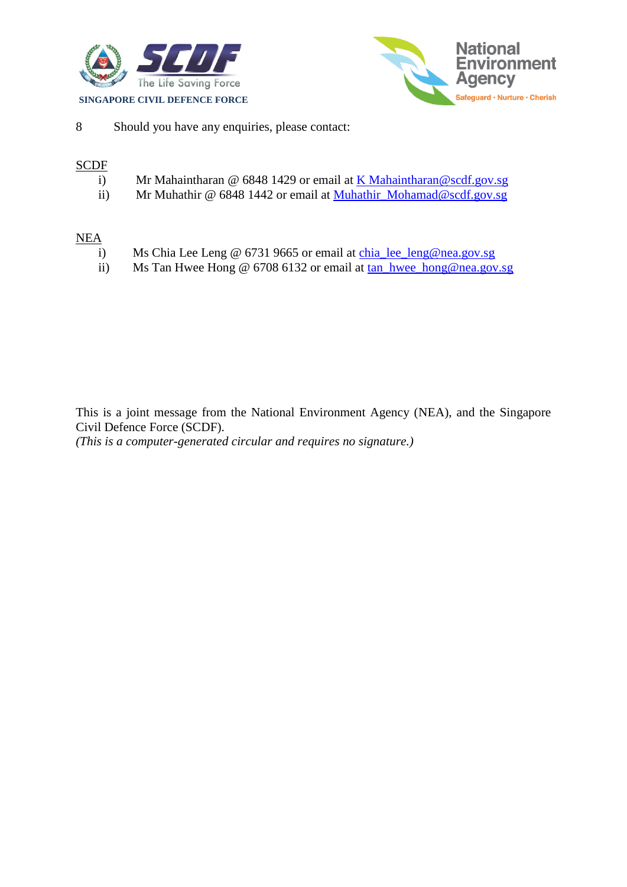



8 Should you have any enquiries, please contact:

## **SCDF**

- i) Mr Mahaintharan @ 6848 1429 or email at [K Mahaintharan@scdf.gov.sg](mailto:K%20Mahaintharan@scdf.gov.sg)
- ii) Mr Muhathir @ 6848 1442 or email at [Muhathir\\_Mohamad@scdf.gov.sg](mailto:Muhathir_Mohamad@scdf.gov.sg)

### NEA

- i) Ms Chia Lee Leng @ 6731 9665 or email at [chia\\_lee\\_leng@nea.gov.sg](mailto:chia_lee_leng@nea.gov.sg)
- ii) Ms Tan Hwee Hong @ 6708 6132 or email at [tan\\_hwee\\_hong@nea.gov.sg](mailto:tan_hwee_hong@nea.gov.sg)

This is a joint message from the National Environment Agency (NEA), and the Singapore Civil Defence Force (SCDF).

*(This is a computer-generated circular and requires no signature.)*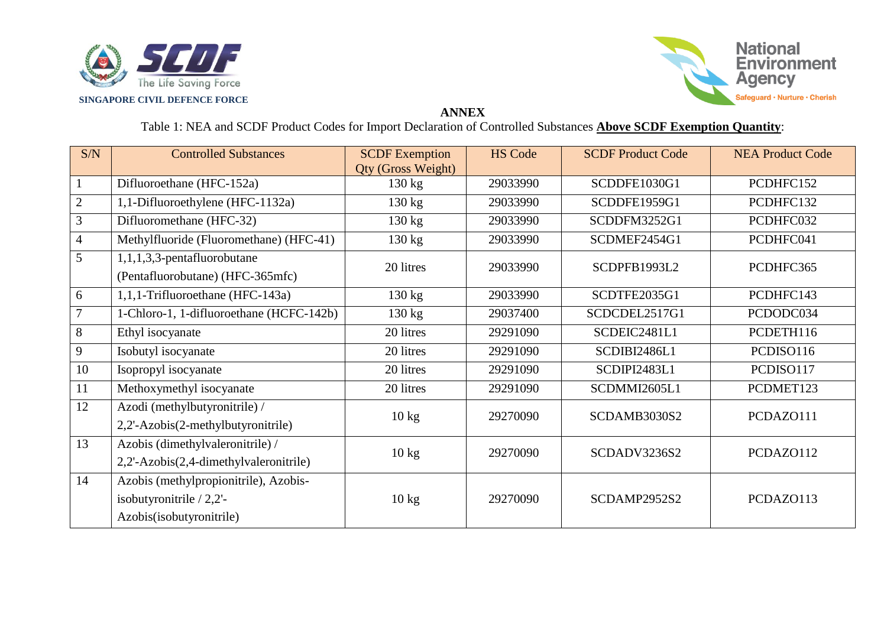



### **ANNEX**

Table 1: NEA and SCDF Product Codes for Import Declaration of Controlled Substances **Above SCDF Exemption Quantity**:

| S/N            | <b>Controlled Substances</b>                                                                     | <b>SCDF</b> Exemption<br><b>Qty (Gross Weight)</b> | <b>HS Code</b> | <b>SCDF Product Code</b> | <b>NEA Product Code</b> |
|----------------|--------------------------------------------------------------------------------------------------|----------------------------------------------------|----------------|--------------------------|-------------------------|
|                | Difluoroethane (HFC-152a)                                                                        | $130 \text{ kg}$                                   | 29033990       | SCDDFE1030G1             | PCDHFC152               |
| $\overline{2}$ | 1,1-Difluoroethylene (HFC-1132a)                                                                 | $130 \text{ kg}$                                   | 29033990       | SCDDFE1959G1             | PCDHFC132               |
| 3              | Difluoromethane (HFC-32)                                                                         | $130 \text{ kg}$                                   | 29033990       | SCDDFM3252G1             | PCDHFC032               |
| 4              | Methylfluoride (Fluoromethane) (HFC-41)                                                          | 130 kg                                             | 29033990       | SCDMEF2454G1             | PCDHFC041               |
| 5              | $1,1,1,3,3$ -pentafluorobutane<br>(Pentafluorobutane) (HFC-365mfc)                               | 20 litres                                          | 29033990       | SCDPFB1993L2             | PCDHFC365               |
| 6              | 1,1,1-Trifluoroethane (HFC-143a)                                                                 | $130 \text{ kg}$                                   | 29033990       | SCDTFE2035G1             | PCDHFC143               |
|                | 1-Chloro-1, 1-difluoroethane (HCFC-142b)                                                         | $130 \text{ kg}$                                   | 29037400       | SCDCDEL2517G1            | PCDODC034               |
| 8              | Ethyl isocyanate                                                                                 | 20 litres                                          | 29291090       | SCDEIC2481L1             | PCDETH116               |
| 9              | Isobutyl isocyanate                                                                              | 20 litres                                          | 29291090       | SCDIBI2486L1             | PCDISO116               |
| 10             | Isopropyl isocyanate                                                                             | 20 litres                                          | 29291090       | SCDIPI2483L1             | PCDISO117               |
| 11             | Methoxymethyl isocyanate                                                                         | 20 litres                                          | 29291090       | SCDMMI2605L1             | PCDMET123               |
| 12             | Azodi (methylbutyronitrile) /<br>2,2'-Azobis(2-methylbutyronitrile)                              | $10 \text{ kg}$                                    | 29270090       | SCDAMB3030S2             | PCDAZ0111               |
| 13             | Azobis (dimethylvaleronitrile) /<br>2,2'-Azobis(2,4-dimethylvaleronitrile)                       | $10 \text{ kg}$                                    | 29270090       | SCDADV3236S2             | PCDAZ0112               |
| 14             | Azobis (methylpropionitrile), Azobis-<br>isobutyronitrile $/ 2,2'$ -<br>Azobis(isobutyronitrile) | $10 \text{ kg}$                                    | 29270090       | SCDAMP2952S2             | PCDAZ0113               |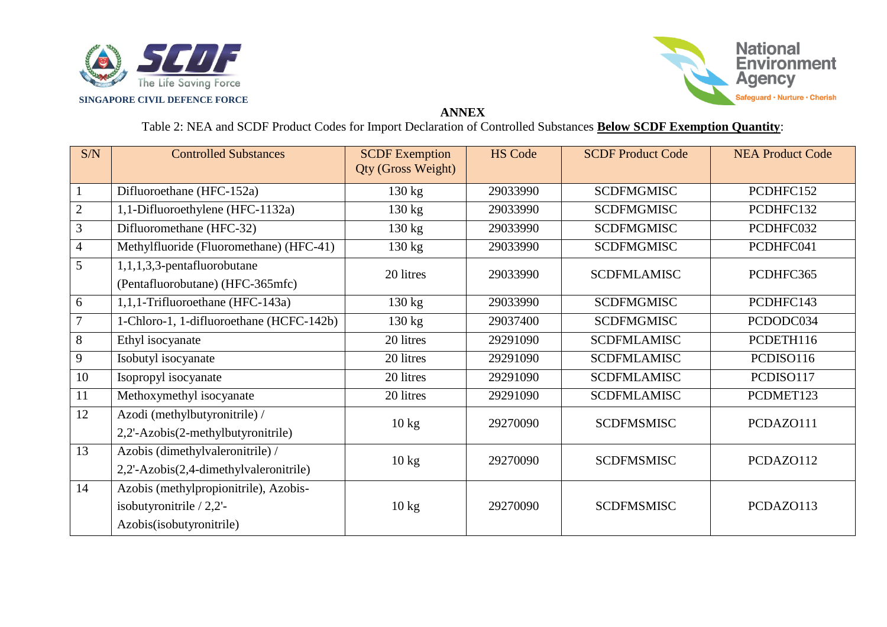



### **ANNEX**

Table 2: NEA and SCDF Product Codes for Import Declaration of Controlled Substances **Below SCDF Exemption Quantity**:

| S/N                      | <b>Controlled Substances</b>                                                                    | <b>SCDF</b> Exemption<br>Qty (Gross Weight) | <b>HS Code</b> | <b>SCDF Product Code</b> | <b>NEA Product Code</b> |
|--------------------------|-------------------------------------------------------------------------------------------------|---------------------------------------------|----------------|--------------------------|-------------------------|
|                          | Difluoroethane (HFC-152a)                                                                       | $130 \text{ kg}$                            | 29033990       | <b>SCDFMGMISC</b>        | PCDHFC152               |
| $\overline{2}$           | 1,1-Difluoroethylene (HFC-1132a)                                                                | $130 \text{ kg}$                            | 29033990       | <b>SCDFMGMISC</b>        | PCDHFC132               |
| $\overline{3}$           | Difluoromethane (HFC-32)                                                                        | $130 \text{ kg}$                            | 29033990       | <b>SCDFMGMISC</b>        | PCDHFC032               |
| $\overline{\mathcal{A}}$ | Methylfluoride (Fluoromethane) (HFC-41)                                                         | $130 \text{ kg}$                            | 29033990       | <b>SCDFMGMISC</b>        | PCDHFC041               |
| 5                        | $1,1,1,3,3$ -pentafluorobutane<br>(Pentafluorobutane) (HFC-365mfc)                              | 20 litres                                   | 29033990       | <b>SCDFMLAMISC</b>       | PCDHFC365               |
| 6                        | 1,1,1-Trifluoroethane (HFC-143a)                                                                | $130 \text{ kg}$                            | 29033990       | <b>SCDFMGMISC</b>        | PCDHFC143               |
| 7                        | 1-Chloro-1, 1-difluoroethane (HCFC-142b)                                                        | $130 \text{ kg}$                            | 29037400       | <b>SCDFMGMISC</b>        | PCDODC034               |
| 8                        | Ethyl isocyanate                                                                                | 20 litres                                   | 29291090       | <b>SCDFMLAMISC</b>       | PCDETH116               |
| 9                        | Isobutyl isocyanate                                                                             | 20 litres                                   | 29291090       | <b>SCDFMLAMISC</b>       | PCDISO116               |
| 10                       | Isopropyl isocyanate                                                                            | 20 litres                                   | 29291090       | <b>SCDFMLAMISC</b>       | PCDISO117               |
| 11                       | Methoxymethyl isocyanate                                                                        | 20 litres                                   | 29291090       | <b>SCDFMLAMISC</b>       | PCDMET123               |
| 12                       | Azodi (methylbutyronitrile) /<br>2,2'-Azobis(2-methylbutyronitrile)                             | $10 \text{ kg}$                             | 29270090       | <b>SCDFMSMISC</b>        | PCDAZ0111               |
| 13                       | Azobis (dimethylvaleronitrile) /<br>2,2'-Azobis(2,4-dimethylvaleronitrile)                      | $10 \text{ kg}$                             | 29270090       | <b>SCDFMSMISC</b>        | PCDAZ0112               |
| 14                       | Azobis (methylpropionitrile), Azobis-<br>isobutyronitrile $/ 2,2'-$<br>Azobis(isobutyronitrile) | $10 \text{ kg}$                             | 29270090       | <b>SCDFMSMISC</b>        | PCDAZ0113               |